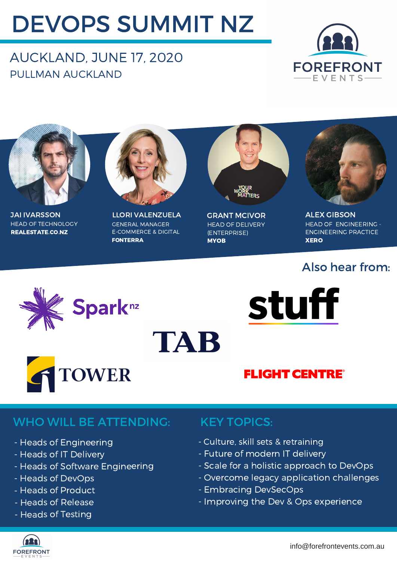# DEVOPS SUMMIT NZ

### AUCKLAND, JUNE 17, 2020 PULLMAN AUCKLAND





HEAD OF TECHNOLOGY REALESTATE.CO.NZ JAI IVARSSON



LLORI VALENZUELA GENERAL MANAGER E-COMMERCE & DIGITAL FONTERRA

TAB



HEAD OF DELIVERY (ENTERPRISE) **MYOB** GRANT MCIVOR



ALEX GIBSON HEAD OF ENGINEERING - ENGINEERING PRACTICE **XERO** 

### Also hear from:







### **FLIGHT CENTRE®**

### WHO WILL BE ATTENDING: KEY TOPICS:

- Heads of Engineering
- Heads of IT Delivery
- Heads of Software Engineering
- Heads of DevOps
- Heads of Product
- Heads of Release
- Heads of Testing

- Culture, skill sets & retraining
- Future of modern IT delivery
- Scale for a holistic approach to DevOps
- Overcome legacy application challenges
- Embracing DevSecOps
- Improving the Dev & Ops experience